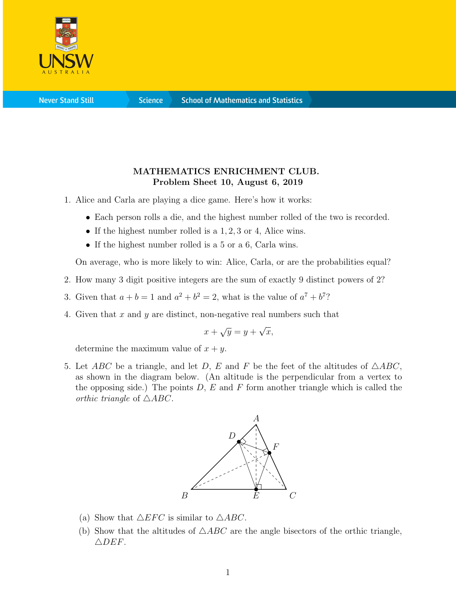

**Science** 

## MATHEMATICS ENRICHMENT CLUB. Problem Sheet 10, August 6, 2019

- 1. Alice and Carla are playing a dice game. Here's how it works:
	- Each person rolls a die, and the highest number rolled of the two is recorded.
	- If the highest number rolled is a 1, 2, 3 or 4, Alice wins.
	- If the highest number rolled is a 5 or a 6, Carla wins.

On average, who is more likely to win: Alice, Carla, or are the probabilities equal?

- 2. How many 3 digit positive integers are the sum of exactly 9 distinct powers of 2?
- 3. Given that  $a + b = 1$  and  $a^2 + b^2 = 2$ , what is the value of  $a^7 + b^7$ ?
- 4. Given that x and y are distinct, non-negative real numbers such that

$$
x + \sqrt{y} = y + \sqrt{x},
$$

determine the maximum value of  $x + y$ .

5. Let ABC be a triangle, and let D, E and F be the feet of the altitudes of  $\triangle ABC$ , as shown in the diagram below. (An altitude is the perpendicular from a vertex to the opposing side.) The points  $D, E$  and F form another triangle which is called the orthic triangle of  $\triangle ABC$ .



- (a) Show that  $\triangle EFC$  is similar to  $\triangle ABC$ .
- (b) Show that the altitudes of  $\triangle ABC$  are the angle bisectors of the orthic triangle,  $\triangle DEF$ .